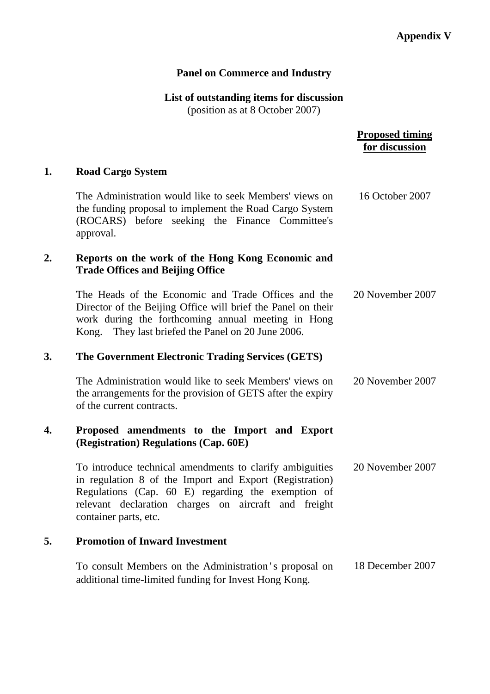# **Panel on Commerce and Industry**

# **List of outstanding items for discussion**

(position as at 8 October 2007)

## **Proposed timing for discussion**

# **1. Road Cargo System**

|    | The Administration would like to seek Members' views on<br>the funding proposal to implement the Road Cargo System<br>(ROCARS) before seeking the Finance Committee's<br>approval.                                                                         | 16 October 2007  |
|----|------------------------------------------------------------------------------------------------------------------------------------------------------------------------------------------------------------------------------------------------------------|------------------|
| 2. | Reports on the work of the Hong Kong Economic and<br><b>Trade Offices and Beijing Office</b>                                                                                                                                                               |                  |
|    | The Heads of the Economic and Trade Offices and the<br>Director of the Beijing Office will brief the Panel on their<br>work during the forthcoming annual meeting in Hong<br>Kong. They last briefed the Panel on 20 June 2006.                            | 20 November 2007 |
| 3. | The Government Electronic Trading Services (GETS)                                                                                                                                                                                                          |                  |
|    | The Administration would like to seek Members' views on<br>the arrangements for the provision of GETS after the expiry<br>of the current contracts.                                                                                                        | 20 November 2007 |
| 4. | Proposed amendments to the Import and Export<br>(Registration) Regulations (Cap. 60E)                                                                                                                                                                      |                  |
|    | To introduce technical amendments to clarify ambiguities<br>in regulation 8 of the Import and Export (Registration)<br>Regulations (Cap. 60 E) regarding the exemption of<br>relevant declaration charges on aircraft and freight<br>container parts, etc. | 20 November 2007 |
| 5. | <b>Promotion of Inward Investment</b>                                                                                                                                                                                                                      |                  |
|    | To consult Members on the Administration's proposal on<br>additional time-limited funding for Invest Hong Kong.                                                                                                                                            | 18 December 2007 |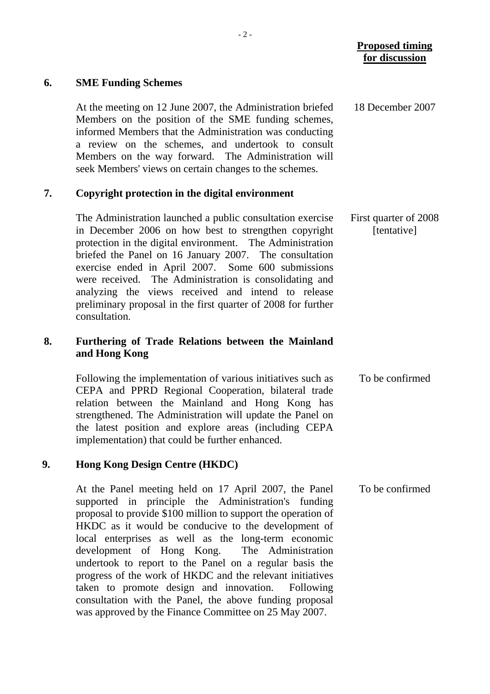#### **6. SME Funding Schemes**

 At the meeting on 12 June 2007, the Administration briefed Members on the position of the SME funding schemes, informed Members that the Administration was conducting a review on the schemes, and undertook to consult Members on the way forward. The Administration will seek Members' views on certain changes to the schemes. 18 December 2007

#### **7. Copyright protection in the digital environment**

The Administration launched a public consultation exercise in December 2006 on how best to strengthen copyright protection in the digital environment. The Administration briefed the Panel on 16 January 2007. The consultation exercise ended in April 2007. Some 600 submissions were received. The Administration is consolidating and analyzing the views received and intend to release preliminary proposal in the first quarter of 2008 for further consultation. First quarter of 2008 [tentative]

### **8. Furthering of Trade Relations between the Mainland and Hong Kong**

Following the implementation of various initiatives such as CEPA and PPRD Regional Cooperation, bilateral trade relation between the Mainland and Hong Kong has strengthened. The Administration will update the Panel on the latest position and explore areas (including CEPA implementation) that could be further enhanced. To be confirmed

#### **9. Hong Kong Design Centre (HKDC)**

At the Panel meeting held on 17 April 2007, the Panel supported in principle the Administration's funding proposal to provide \$100 million to support the operation of HKDC as it would be conducive to the development of local enterprises as well as the long-term economic development of Hong Kong. The Administration undertook to report to the Panel on a regular basis the progress of the work of HKDC and the relevant initiatives taken to promote design and innovation. Following consultation with the Panel, the above funding proposal was approved by the Finance Committee on 25 May 2007. To be confirmed